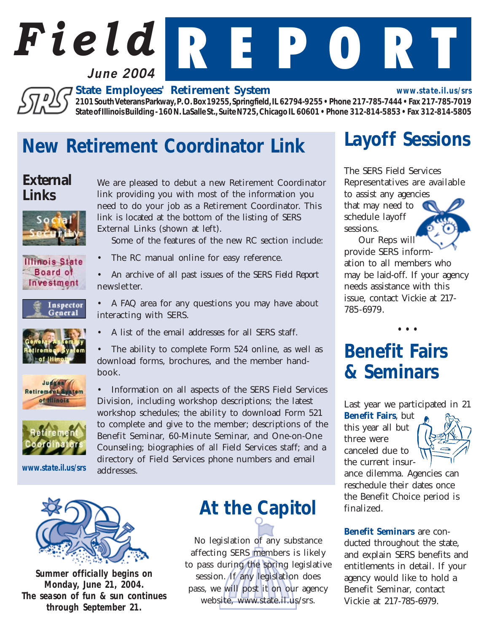

*State Employees' Retirement System*

*2101 South Veterans Parkway, P. O. Box 19255, Springfield, IL 62794-9255 • Phone 217-785-7444 • Fax 217-785-7019 State of Illinois Building - 160 N. LaSalle St., Suite N725, Chicago IL 60601 • Phone 312-814-5853 • Fax 312-814-5805*

### *New Retirement Coordinator Link*

### *External Links*

沉些



We are pleased to debut a new Retirement Coordinator link providing you with most of the information you need to do your job as a Retirement Coordinator. This link is located at the bottom of the listing of SERS External Links (shown at left).

Some of the features of the new RC section include:

• The RC manual online for easy reference.

**Illinois State** Board of Investment

newsletter.

Inspector General







*www.state.il.us/srs*

• A FAQ area for any questions you may have about interacting with SERS. • A list of the email addresses for all SERS staff.

• An archive of all past issues of the SERS *Field Report*

The ability to complete Form 524 online, as well as download forms, brochures, and the member handbook.

• Information on all aspects of the SERS Field Services Division, including workshop descriptions; the latest workshop schedules; the ability to download Form 521 to complete and give to the member; descriptions of the Benefit Seminar, 60-Minute Seminar, and One-on-One Counseling; biographies of all Field Services staff; and a directory of Field Services phone numbers and email addresses.



*Summer officially begins on Monday, June 21, 2004. The season of fun & sun continues through September 21.*

## *At the Capitol*

No legislation of any substance affecting SERS members is likely to pass during the spring legislative session. If any legislation does pass, we will post it on our agency website, www.state.il.us/srs.

## *Layoff Sessions*

*www.state.il.us/srs*

The SERS Field Services Representatives are available to assist any agencies

that may need to schedule layoff sessions.

Our Reps will provide SERS information to all members who may be laid-off. If your agency needs assistance with this issue, contact Vickie at 217- 785-6979.

*• • •*

## *Benefit Fairs & Seminars*

Last year we participated in 21

*Benefit Fairs*, but this year all but three were canceled due to the current insur-



ance dilemma. Agencies can reschedule their dates once the Benefit Choice period is finalized.

*Benefit Seminars* are conducted throughout the state, and explain SERS benefits and entitlements in detail. If your agency would like to hold a Benefit Seminar, contact Vickie at 217-785-6979.